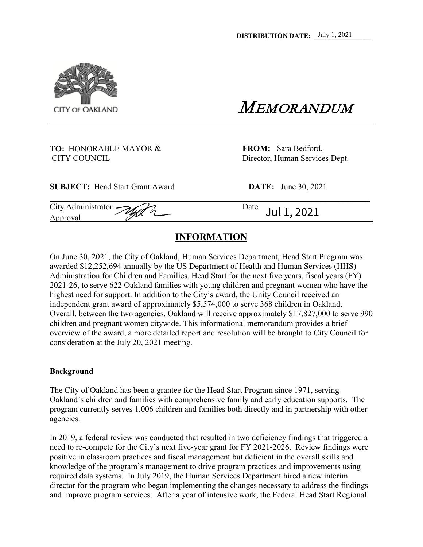

## **TO:** HONORABLE MAYOR & **FROM:** Sara Bedford, CITY COUNCIL Director, Human Services Dept.

**SUBJECT:** Head Start Grant Award **DATE:** June 30, 2021

CITY OF OAKLAND  $MEMORANDUM$ 

**\_\_\_\_\_\_\_\_\_\_\_\_\_\_\_\_**

City Administrator  $\bigotimes$   $\bigotimes$ 

Approval *Approval* **Approval** *Approval* Jul 1, 2021

## **INFORMATION**

On June 30, 2021, the City of Oakland, Human Services Department, Head Start Program was awarded \$12,252,694 annually by the US Department of Health and Human Services (HHS) Administration for Children and Families, Head Start for the next five years, fiscal years (FY) 2021-26, to serve 622 Oakland families with young children and pregnant women who have the highest need for support. In addition to the City's award, the Unity Council received an independent grant award of approximately \$5,574,000 to serve 368 children in Oakland. Overall, between the two agencies, Oakland will receive approximately \$17,827,000 to serve 990 children and pregnant women citywide. This informational memorandum provides a brief overview of the award, a more detailed report and resolution will be brought to City Council for consideration at the July 20, 2021 meeting.

## **Background**

The City of Oakland has been a grantee for the Head Start Program since 1971, serving Oakland's children and families with comprehensive family and early education supports. The program currently serves 1,006 children and families both directly and in partnership with other agencies.

In 2019, a federal review was conducted that resulted in two deficiency findings that triggered a need to re-compete for the City's next five-year grant for FY 2021-2026. Review findings were positive in classroom practices and fiscal management but deficient in the overall skills and knowledge of the program's management to drive program practices and improvements using required data systems. In July 2019, the Human Services Department hired a new interim director for the program who began implementing the changes necessary to address the findings and improve program services. After a year of intensive work, the Federal Head Start Regional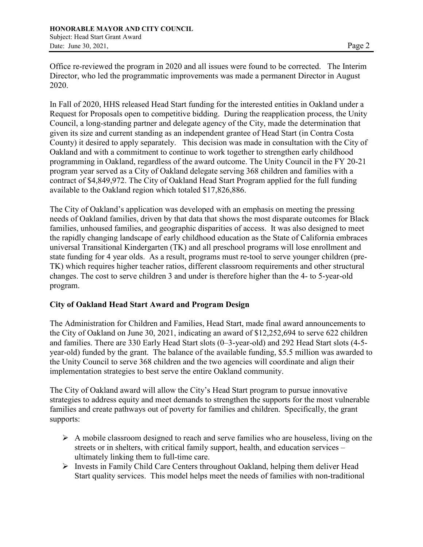Office re-reviewed the program in 2020 and all issues were found to be corrected. The Interim Director, who led the programmatic improvements was made a permanent Director in August 2020.

In Fall of 2020, HHS released Head Start funding for the interested entities in Oakland under a Request for Proposals open to competitive bidding. During the reapplication process, the Unity Council, a long-standing partner and delegate agency of the City, made the determination that given its size and current standing as an independent grantee of Head Start (in Contra Costa County) it desired to apply separately. This decision was made in consultation with the City of Oakland and with a commitment to continue to work together to strengthen early childhood programming in Oakland, regardless of the award outcome. The Unity Council in the FY 20-21 program year served as a City of Oakland delegate serving 368 children and families with a contract of \$4,849,972. The City of Oakland Head Start Program applied for the full funding available to the Oakland region which totaled \$17,826,886.

The City of Oakland's application was developed with an emphasis on meeting the pressing needs of Oakland families, driven by that data that shows the most disparate outcomes for Black families, unhoused families, and geographic disparities of access. It was also designed to meet the rapidly changing landscape of early childhood education as the State of California embraces universal Transitional Kindergarten (TK) and all preschool programs will lose enrollment and state funding for 4 year olds. As a result, programs must re-tool to serve younger children (pre-TK) which requires higher teacher ratios, different classroom requirements and other structural changes. The cost to serve children 3 and under is therefore higher than the 4- to 5-year-old program.

## **City of Oakland Head Start Award and Program Design**

The Administration for Children and Families, Head Start, made final award announcements to the City of Oakland on June 30, 2021, indicating an award of \$12,252,694 to serve 622 children and families. There are 330 Early Head Start slots (0–3-year-old) and 292 Head Start slots (4-5 year-old) funded by the grant. The balance of the available funding, \$5.5 million was awarded to the Unity Council to serve 368 children and the two agencies will coordinate and align their implementation strategies to best serve the entire Oakland community.

The City of Oakland award will allow the City's Head Start program to pursue innovative strategies to address equity and meet demands to strengthen the supports for the most vulnerable families and create pathways out of poverty for families and children. Specifically, the grant supports:

- $\triangleright$  A mobile classroom designed to reach and serve families who are houseless, living on the streets or in shelters, with critical family support, health, and education services – ultimately linking them to full-time care.
- $\triangleright$  Invests in Family Child Care Centers throughout Oakland, helping them deliver Head Start quality services. This model helps meet the needs of families with non-traditional